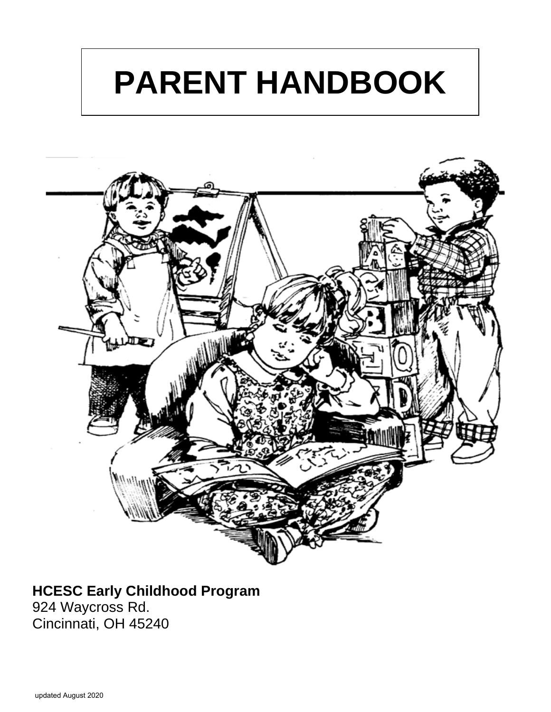# **PARENT HANDBOOK**



# **HCESC Early Childhood Program**

924 Waycross Rd. Cincinnati, OH 45240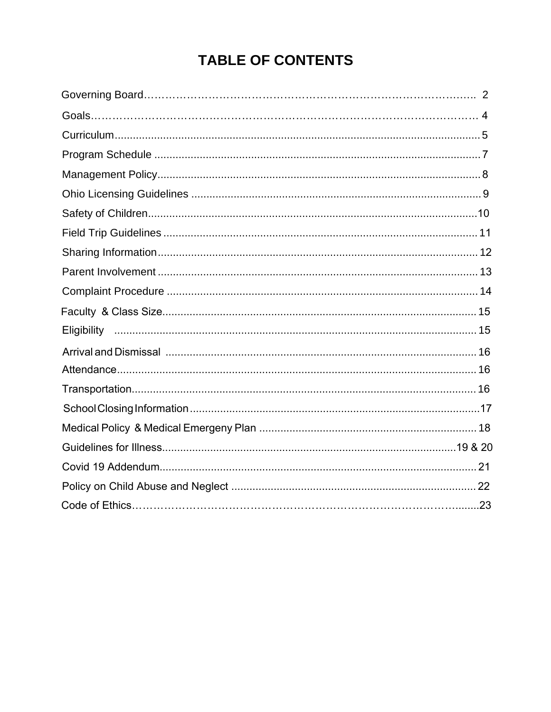# **TABLE OF CONTENTS**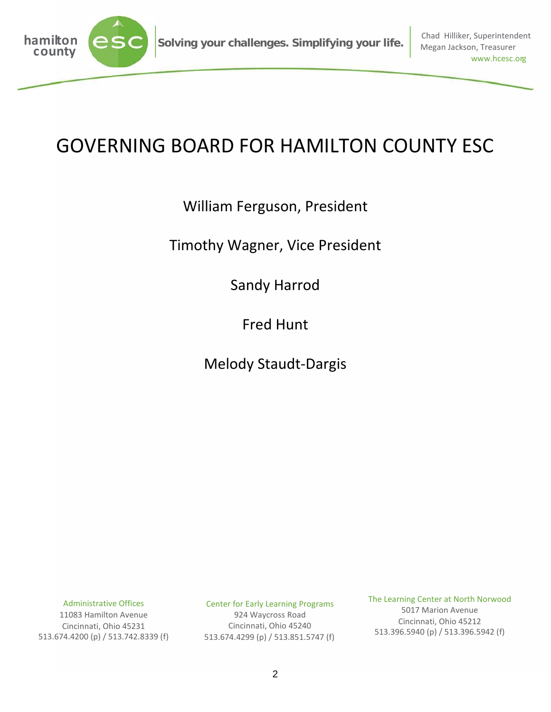

# GOVERNING BOARD FOR HAMILTON COUNTY ESC

### William Ferguson, President

#### Timothy Wagner, Vice President

Sandy Harrod

Fred Hunt

Melody Staudt-Dargis

Administrative Offices

11083 Hamilton Avenue Cincinnati, Ohio 45231 513.674.4200 (p) / 513.742.8339 (f) Center for Early Learning Programs 924 Waycross Road Cincinnati, Ohio 45240

513.674.4299 (p) / 513.851.5747 (f)

The Learning Center at North Norwood

5017 Marion Avenue Cincinnati, Ohio 45212 513.396.5940 (p) / 513.396.5942 (f)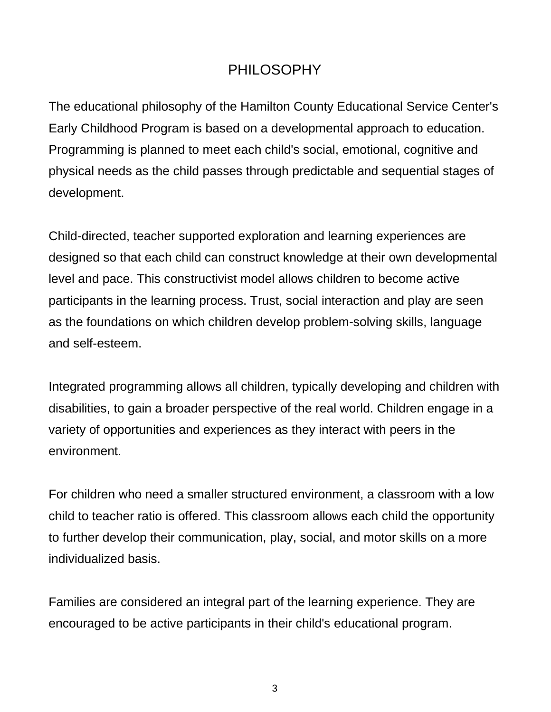### PHILOSOPHY

The educational philosophy of the Hamilton County Educational Service Center's Early Childhood Program is based on a developmental approach to education. Programming is planned to meet each child's social, emotional, cognitive and physical needs as the child passes through predictable and sequential stages of development.

Child-directed, teacher supported exploration and learning experiences are designed so that each child can construct knowledge at their own developmental level and pace. This constructivist model allows children to become active participants in the learning process. Trust, social interaction and play are seen as the foundations on which children develop problem-solving skills, language and self-esteem.

Integrated programming allows all children, typically developing and children with disabilities, to gain a broader perspective of the real world. Children engage in a variety of opportunities and experiences as they interact with peers in the environment.

For children who need a smaller structured environment, a classroom with a low child to teacher ratio is offered. This classroom allows each child the opportunity to further develop their communication, play, social, and motor skills on a more individualized basis.

Families are considered an integral part of the learning experience. They are encouraged to be active participants in their child's educational program.

3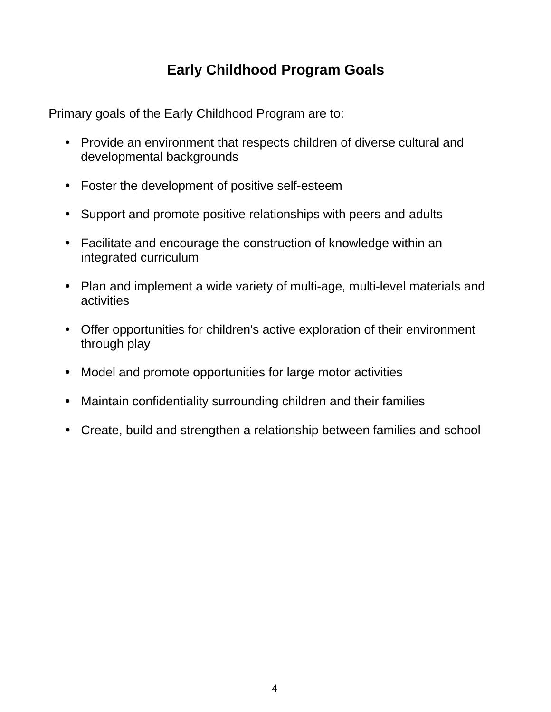# **Early Childhood Program Goals**

Primary goals of the Early Childhood Program are to:

- Provide an environment that respects children of diverse cultural and developmental backgrounds
- Foster the development of positive self-esteem
- Support and promote positive relationships with peers and adults
- Facilitate and encourage the construction of knowledge within an integrated curriculum
- Plan and implement a wide variety of multi-age, multi-level materials and activities
- Offer opportunities for children's active exploration of their environment through play
- Model and promote opportunities for large motor activities
- Maintain confidentiality surrounding children and their families
- Create, build and strengthen a relationship between families and school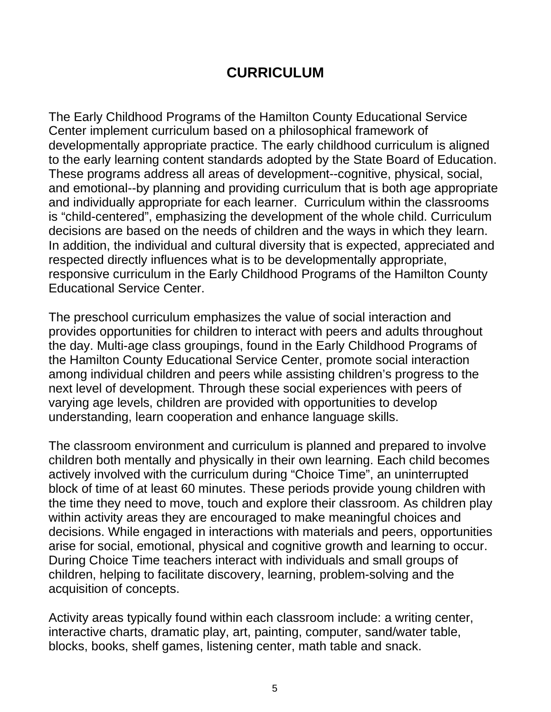#### **CURRICULUM**

The Early Childhood Programs of the Hamilton County Educational Service Center implement curriculum based on a philosophical framework of developmentally appropriate practice. The early childhood curriculum is aligned to the early learning content standards adopted by the State Board of Education. These programs address all areas of development--cognitive, physical, social, and emotional--by planning and providing curriculum that is both age appropriate and individually appropriate for each learner. Curriculum within the classrooms is "child-centered", emphasizing the development of the whole child. Curriculum decisions are based on the needs of children and the ways in which they learn. In addition, the individual and cultural diversity that is expected, appreciated and respected directly influences what is to be developmentally appropriate, responsive curriculum in the Early Childhood Programs of the Hamilton County Educational Service Center.

The preschool curriculum emphasizes the value of social interaction and provides opportunities for children to interact with peers and adults throughout the day. Multi-age class groupings, found in the Early Childhood Programs of the Hamilton County Educational Service Center, promote social interaction among individual children and peers while assisting children's progress to the next level of development. Through these social experiences with peers of varying age levels, children are provided with opportunities to develop understanding, learn cooperation and enhance language skills.

The classroom environment and curriculum is planned and prepared to involve children both mentally and physically in their own learning. Each child becomes actively involved with the curriculum during "Choice Time", an uninterrupted block of time of at least 60 minutes. These periods provide young children with the time they need to move, touch and explore their classroom. As children play within activity areas they are encouraged to make meaningful choices and decisions. While engaged in interactions with materials and peers, opportunities arise for social, emotional, physical and cognitive growth and learning to occur. During Choice Time teachers interact with individuals and small groups of children, helping to facilitate discovery, learning, problem-solving and the acquisition of concepts.

Activity areas typically found within each classroom include: a writing center, interactive charts, dramatic play, art, painting, computer, sand/water table, blocks, books, shelf games, listening center, math table and snack.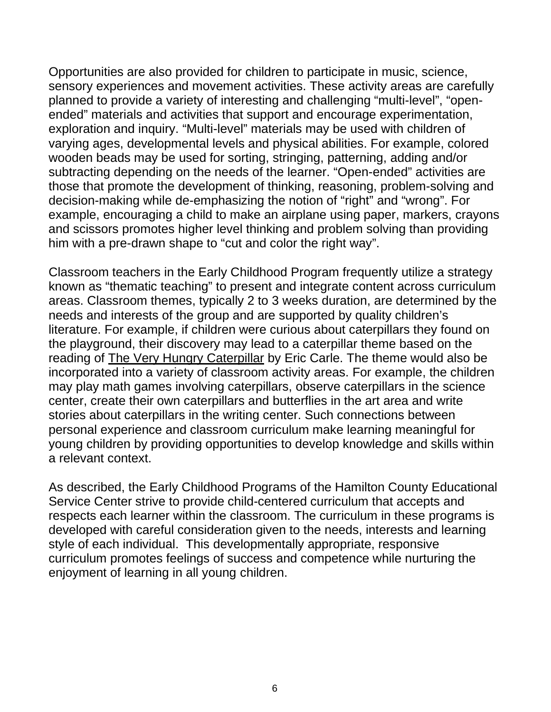Opportunities are also provided for children to participate in music, science, sensory experiences and movement activities. These activity areas are carefully planned to provide a variety of interesting and challenging "multi-level", "openended" materials and activities that support and encourage experimentation, exploration and inquiry. "Multi-level" materials may be used with children of varying ages, developmental levels and physical abilities. For example, colored wooden beads may be used for sorting, stringing, patterning, adding and/or subtracting depending on the needs of the learner. "Open-ended" activities are those that promote the development of thinking, reasoning, problem-solving and decision-making while de-emphasizing the notion of "right" and "wrong". For example, encouraging a child to make an airplane using paper, markers, crayons and scissors promotes higher level thinking and problem solving than providing him with a pre-drawn shape to "cut and color the right way".

Classroom teachers in the Early Childhood Program frequently utilize a strategy known as "thematic teaching" to present and integrate content across curriculum areas. Classroom themes, typically 2 to 3 weeks duration, are determined by the needs and interests of the group and are supported by quality children's literature. For example, if children were curious about caterpillars they found on the playground, their discovery may lead to a caterpillar theme based on the reading of The Very Hungry Caterpillar by Eric Carle. The theme would also be incorporated into a variety of classroom activity areas. For example, the children may play math games involving caterpillars, observe caterpillars in the science center, create their own caterpillars and butterflies in the art area and write stories about caterpillars in the writing center. Such connections between personal experience and classroom curriculum make learning meaningful for young children by providing opportunities to develop knowledge and skills within a relevant context.

As described, the Early Childhood Programs of the Hamilton County Educational Service Center strive to provide child-centered curriculum that accepts and respects each learner within the classroom. The curriculum in these programs is developed with careful consideration given to the needs, interests and learning style of each individual. This developmentally appropriate, responsive curriculum promotes feelings of success and competence while nurturing the enjoyment of learning in all young children.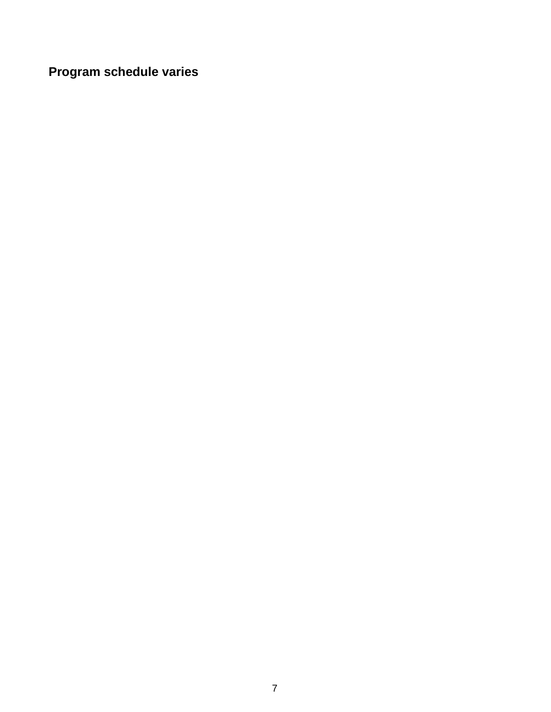**Program schedule varies**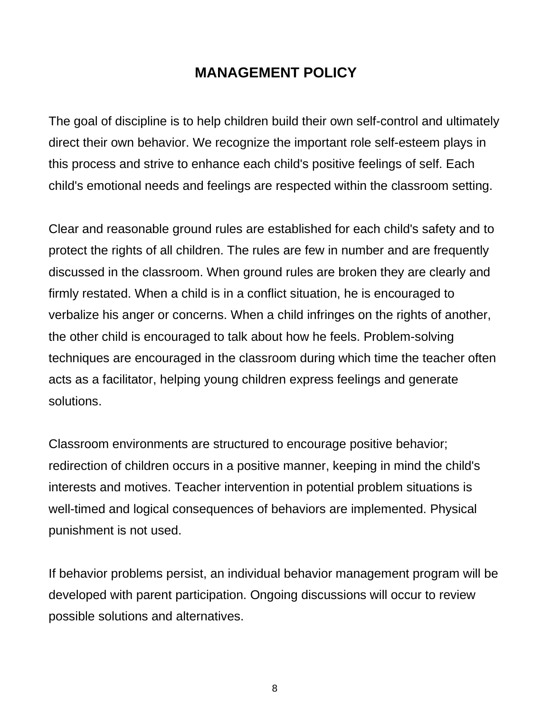#### **MANAGEMENT POLICY**

The goal of discipline is to help children build their own self-control and ultimately direct their own behavior. We recognize the important role self-esteem plays in this process and strive to enhance each child's positive feelings of self. Each child's emotional needs and feelings are respected within the classroom setting.

Clear and reasonable ground rules are established for each child's safety and to protect the rights of all children. The rules are few in number and are frequently discussed in the classroom. When ground rules are broken they are clearly and firmly restated. When a child is in a conflict situation, he is encouraged to verbalize his anger or concerns. When a child infringes on the rights of another, the other child is encouraged to talk about how he feels. Problem-solving techniques are encouraged in the classroom during which time the teacher often acts as a facilitator, helping young children express feelings and generate solutions.

Classroom environments are structured to encourage positive behavior; redirection of children occurs in a positive manner, keeping in mind the child's interests and motives. Teacher intervention in potential problem situations is well-timed and logical consequences of behaviors are implemented. Physical punishment is not used.

If behavior problems persist, an individual behavior management program will be developed with parent participation. Ongoing discussions will occur to review possible solutions and alternatives.

8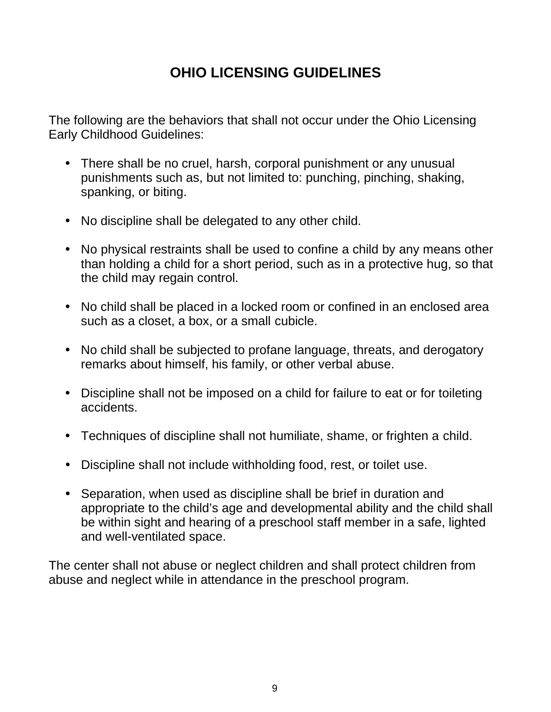# **OHIO LICENSING GUIDELINES**

The following are the behaviors that shall not occur under the Ohio Licensing Early Childhood Guidelines:

- There shall be no cruel, harsh, corporal punishment or any unusual punishments such as, but not limited to: punching, pinching, shaking, spanking, or biting.
- No discipline shall be delegated to any other child.
- No physical restraints shall be used to confine a child by any means other than holding a child for a short period, such as in a protective hug, so that the child may regain control.
- No child shall be placed in a locked room or confined in an enclosed area such as a closet, a box, or a small cubicle.
- No child shall be subjected to profane language, threats, and derogatory remarks about himself, his family, or other verbal abuse.
- Discipline shall not be imposed on a child for failure to eat or for toileting accidents.
- Techniques of discipline shall not humiliate, shame, or frighten a child.
- Discipline shall not include withholding food, rest, or toilet use.
- Separation, when used as discipline shall be brief in duration and appropriate to the child's age and developmental ability and the child shall be within sight and hearing of a preschool staff member in a safe, lighted and well-ventilated space.

The center shall not abuse or neglect children and shall protect children from abuse and neglect while in attendance in the preschool program.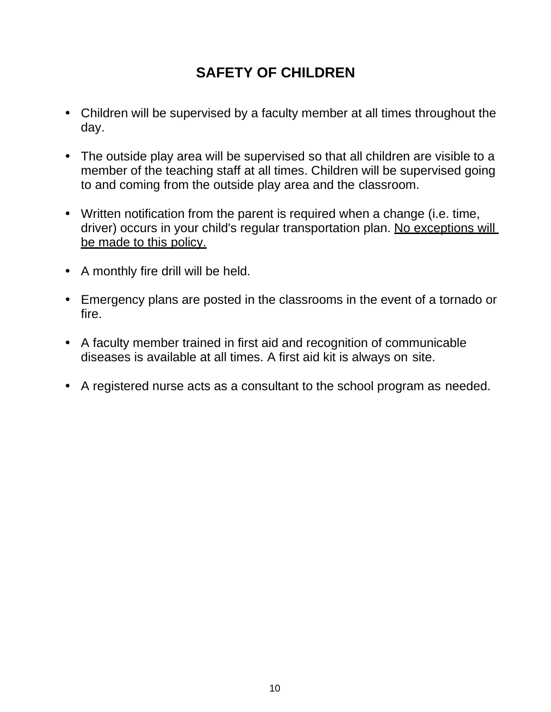### **SAFETY OF CHILDREN**

- Children will be supervised by a faculty member at all times throughout the day.
- The outside play area will be supervised so that all children are visible to a member of the teaching staff at all times. Children will be supervised going to and coming from the outside play area and the classroom.
- Written notification from the parent is required when a change (i.e. time, driver) occurs in your child's regular transportation plan. No exceptions will be made to this policy.
- A monthly fire drill will be held.
- Emergency plans are posted in the classrooms in the event of a tornado or fire.
- A faculty member trained in first aid and recognition of communicable diseases is available at all times. A first aid kit is always on site.
- A registered nurse acts as a consultant to the school program as needed.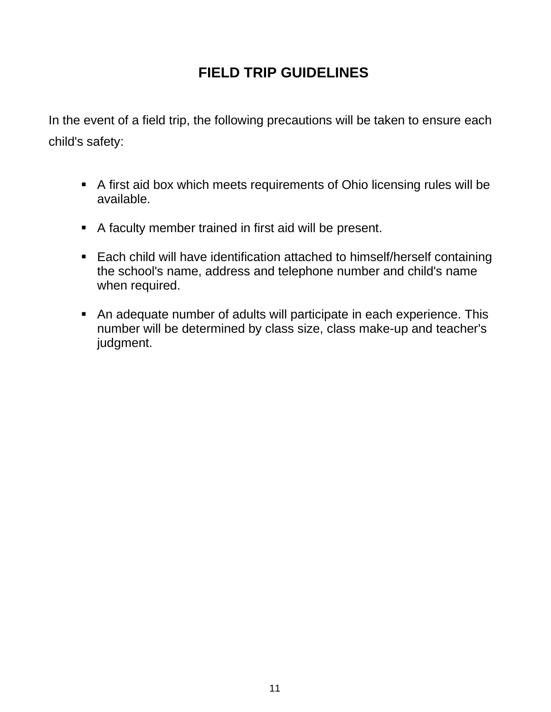# **FIELD TRIP GUIDELINES**

In the event of a field trip, the following precautions will be taken to ensure each child's safety:

- A first aid box which meets requirements of Ohio licensing rules will be available.
- A faculty member trained in first aid will be present.
- Each child will have identification attached to himself/herself containing the school's name, address and telephone number and child's name when required.
- An adequate number of adults will participate in each experience. This number will be determined by class size, class make-up and teacher's judgment.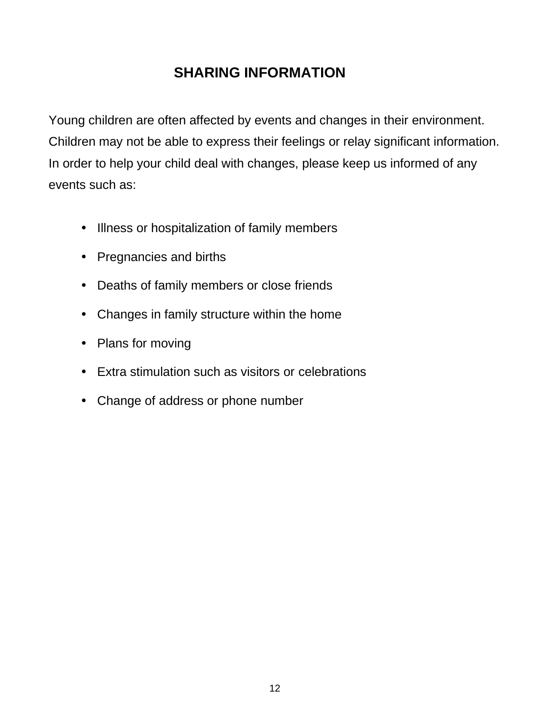### **SHARING INFORMATION**

Young children are often affected by events and changes in their environment. Children may not be able to express their feelings or relay significant information. In order to help your child deal with changes, please keep us informed of any events such as:

- Illness or hospitalization of family members
- Pregnancies and births
- Deaths of family members or close friends
- Changes in family structure within the home
- Plans for moving
- Extra stimulation such as visitors or celebrations
- Change of address or phone number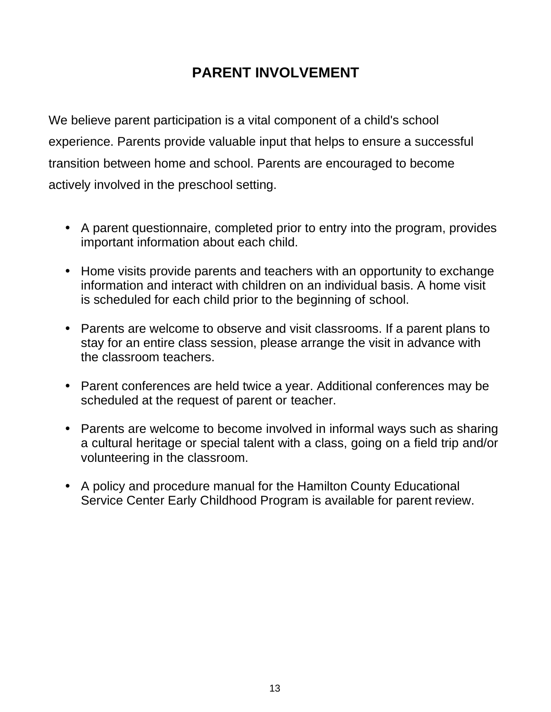## **PARENT INVOLVEMENT**

We believe parent participation is a vital component of a child's school experience. Parents provide valuable input that helps to ensure a successful transition between home and school. Parents are encouraged to become actively involved in the preschool setting.

- A parent questionnaire, completed prior to entry into the program, provides important information about each child.
- Home visits provide parents and teachers with an opportunity to exchange information and interact with children on an individual basis. A home visit is scheduled for each child prior to the beginning of school.
- Parents are welcome to observe and visit classrooms. If a parent plans to stay for an entire class session, please arrange the visit in advance with the classroom teachers.
- Parent conferences are held twice a year. Additional conferences may be scheduled at the request of parent or teacher.
- Parents are welcome to become involved in informal ways such as sharing a cultural heritage or special talent with a class, going on a field trip and/or volunteering in the classroom.
- A policy and procedure manual for the Hamilton County Educational Service Center Early Childhood Program is available for parent review.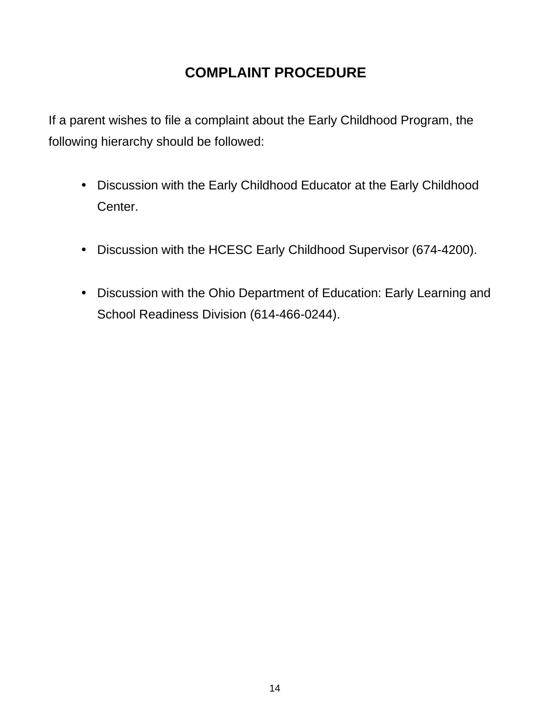### **COMPLAINT PROCEDURE**

If a parent wishes to file a complaint about the Early Childhood Program, the following hierarchy should be followed:

- Discussion with the Early Childhood Educator at the Early Childhood Center.
- Discussion with the HCESC Early Childhood Supervisor (674-4200).
- Discussion with the Ohio Department of Education: Early Learning and School Readiness Division (614-466-0244).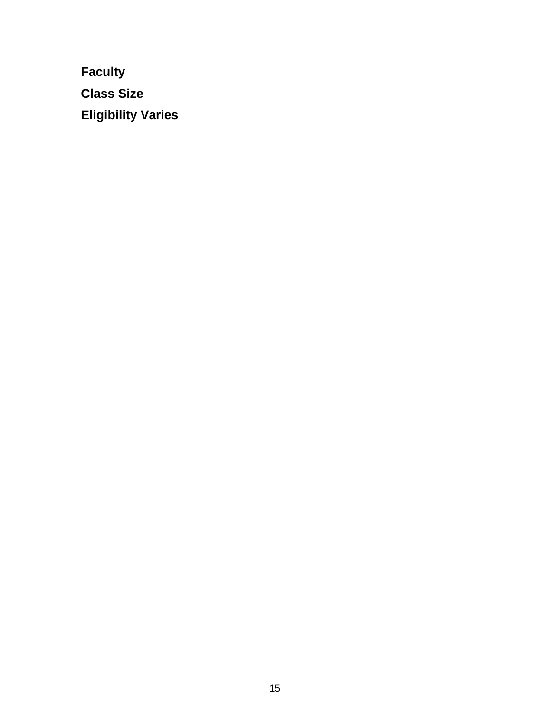**Faculty Class Size Eligibility Varies**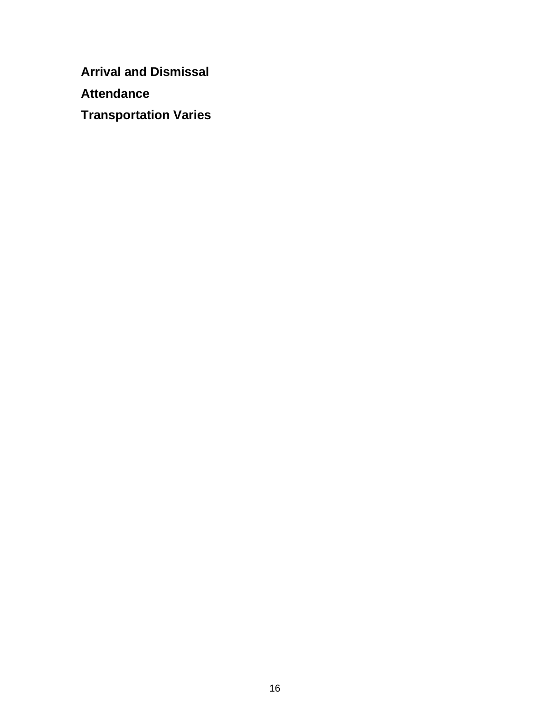**Arrival and Dismissal** 

**Attendance** 

**Transportation Varies**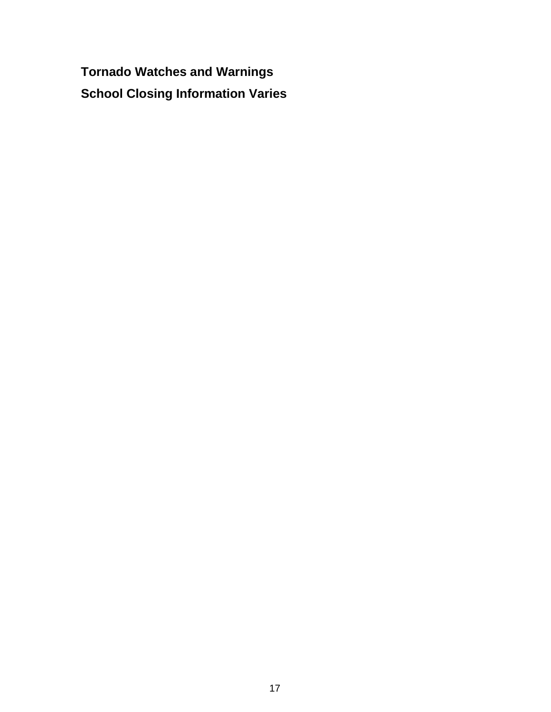**Tornado Watches and Warnings School Closing Information Varies**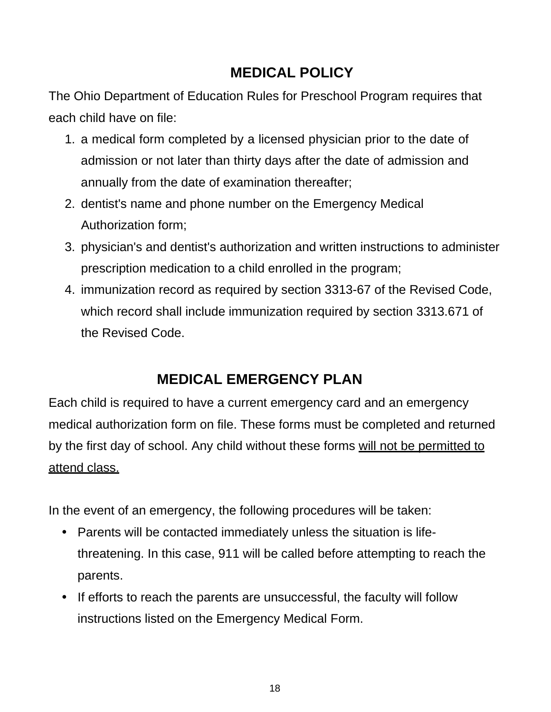### **MEDICAL POLICY**

The Ohio Department of Education Rules for Preschool Program requires that each child have on file:

- 1. a medical form completed by a licensed physician prior to the date of admission or not later than thirty days after the date of admission and annually from the date of examination thereafter;
- 2. dentist's name and phone number on the Emergency Medical Authorization form;
- 3. physician's and dentist's authorization and written instructions to administer prescription medication to a child enrolled in the program;
- 4. immunization record as required by section 3313-67 of the Revised Code, which record shall include immunization required by section 3313.671 of the Revised Code.

# **MEDICAL EMERGENCY PLAN**

Each child is required to have a current emergency card and an emergency medical authorization form on file. These forms must be completed and returned by the first day of school. Any child without these forms will not be permitted to attend class.

In the event of an emergency, the following procedures will be taken:

- Parents will be contacted immediately unless the situation is lifethreatening. In this case, 911 will be called before attempting to reach the parents.
- If efforts to reach the parents are unsuccessful, the faculty will follow instructions listed on the Emergency Medical Form.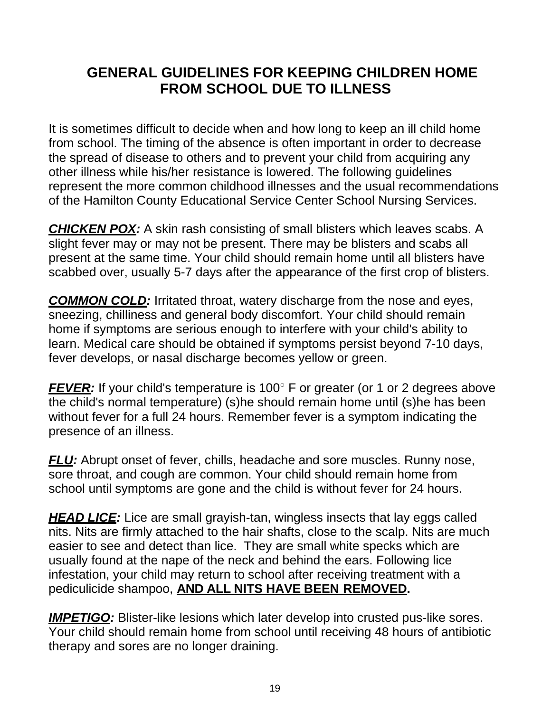#### **GENERAL GUIDELINES FOR KEEPING CHILDREN HOME FROM SCHOOL DUE TO ILLNESS**

It is sometimes difficult to decide when and how long to keep an ill child home from school. The timing of the absence is often important in order to decrease the spread of disease to others and to prevent your child from acquiring any other illness while his/her resistance is lowered. The following guidelines represent the more common childhood illnesses and the usual recommendations of the Hamilton County Educational Service Center School Nursing Services.

*CHICKEN POX:* A skin rash consisting of small blisters which leaves scabs. A slight fever may or may not be present. There may be blisters and scabs all present at the same time. Your child should remain home until all blisters have scabbed over, usually 5-7 days after the appearance of the first crop of blisters.

*COMMON COLD:* Irritated throat, watery discharge from the nose and eyes, sneezing, chilliness and general body discomfort. Your child should remain home if symptoms are serious enough to interfere with your child's ability to learn. Medical care should be obtained if symptoms persist beyond 7-10 days, fever develops, or nasal discharge becomes yellow or green.

**FEVER:** If your child's temperature is 100° F or greater (or 1 or 2 degrees above the child's normal temperature) (s)he should remain home until (s)he has been without fever for a full 24 hours. Remember fever is a symptom indicating the presence of an illness.

**FLU:** Abrupt onset of fever, chills, headache and sore muscles. Runny nose, sore throat, and cough are common. Your child should remain home from school until symptoms are gone and the child is without fever for 24 hours.

**HEAD LICE:** Lice are small grayish-tan, wingless insects that lay eggs called nits. Nits are firmly attached to the hair shafts, close to the scalp. Nits are much easier to see and detect than lice. They are small white specks which are usually found at the nape of the neck and behind the ears. Following lice infestation, your child may return to school after receiving treatment with a pediculicide shampoo, **AND ALL NITS HAVE BEEN REMOVED.**

**IMPETIGO:** Blister-like lesions which later develop into crusted pus-like sores. Your child should remain home from school until receiving 48 hours of antibiotic therapy and sores are no longer draining.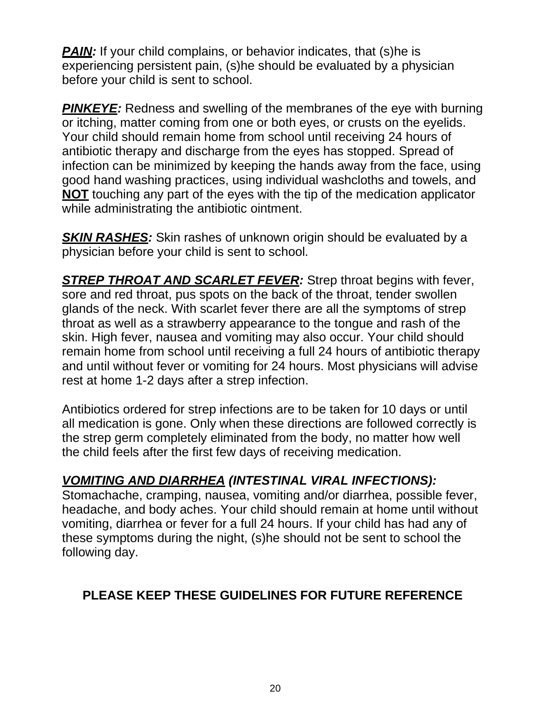**PAIN:** If your child complains, or behavior indicates, that (s)he is experiencing persistent pain, (s)he should be evaluated by a physician before your child is sent to school.

**PINKEYE:** Redness and swelling of the membranes of the eye with burning or itching, matter coming from one or both eyes, or crusts on the eyelids. Your child should remain home from school until receiving 24 hours of antibiotic therapy and discharge from the eyes has stopped. Spread of infection can be minimized by keeping the hands away from the face, using good hand washing practices, using individual washcloths and towels, and **NOT** touching any part of the eyes with the tip of the medication applicator while administrating the antibiotic ointment.

**SKIN RASHES:** Skin rashes of unknown origin should be evaluated by a physician before your child is sent to school.

*STREP THROAT AND SCARLET FEVER:* Strep throat begins with fever, sore and red throat, pus spots on the back of the throat, tender swollen glands of the neck. With scarlet fever there are all the symptoms of strep throat as well as a strawberry appearance to the tongue and rash of the skin. High fever, nausea and vomiting may also occur. Your child should remain home from school until receiving a full 24 hours of antibiotic therapy and until without fever or vomiting for 24 hours. Most physicians will advise rest at home 1-2 days after a strep infection.

Antibiotics ordered for strep infections are to be taken for 10 days or until all medication is gone. Only when these directions are followed correctly is the strep germ completely eliminated from the body, no matter how well the child feels after the first few days of receiving medication.

#### *VOMITING AND DIARRHEA (INTESTINAL VIRAL INFECTIONS):*

Stomachache, cramping, nausea, vomiting and/or diarrhea, possible fever, headache, and body aches. Your child should remain at home until without vomiting, diarrhea or fever for a full 24 hours. If your child has had any of these symptoms during the night, (s)he should not be sent to school the following day.

#### **PLEASE KEEP THESE GUIDELINES FOR FUTURE REFERENCE**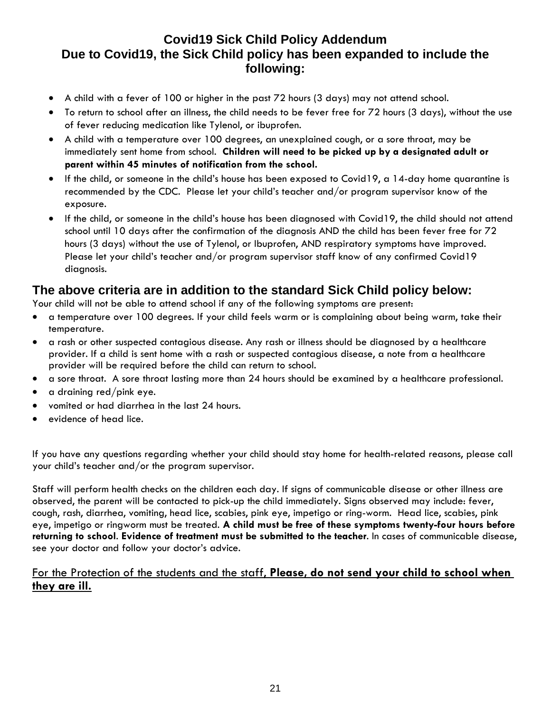#### **Covid19 Sick Child Policy Addendum Due to Covid19, the Sick Child policy has been expanded to include the following:**

- A child with a fever of 100 or higher in the past 72 hours (3 days) may not attend school.
- To return to school after an illness, the child needs to be fever free for 72 hours (3 days), without the use of fever reducing medication like Tylenol, or ibuprofen.
- A child with a temperature over 100 degrees, an unexplained cough, or a sore throat, may be immediately sent home from school. **Children will need to be picked up by a designated adult or parent within 45 minutes of notification from the school.**
- If the child, or someone in the child's house has been exposed to Covid19, a 14-day home quarantine is recommended by the CDC. Please let your child's teacher and/or program supervisor know of the exposure.
- If the child, or someone in the child's house has been diagnosed with Covid19, the child should not attend school until 10 days after the confirmation of the diagnosis AND the child has been fever free for 72 hours (3 days) without the use of Tylenol, or Ibuprofen, AND respiratory symptoms have improved. Please let your child's teacher and/or program supervisor staff know of any confirmed Covid19 diagnosis.

#### **The above criteria are in addition to the standard Sick Child policy below:**

Your child will not be able to attend school if any of the following symptoms are present:

- a temperature over 100 degrees. If your child feels warm or is complaining about being warm, take their temperature.
- a rash or other suspected contagious disease. Any rash or illness should be diagnosed by a healthcare provider. If a child is sent home with a rash or suspected contagious disease, a note from a healthcare provider will be required before the child can return to school.
- a sore throat. A sore throat lasting more than 24 hours should be examined by a healthcare professional.
- a draining red/pink eye.
- vomited or had diarrhea in the last 24 hours.
- evidence of head lice.

If you have any questions regarding whether your child should stay home for health-related reasons, please call your child's teacher and/or the program supervisor.

Staff will perform health checks on the children each day. If signs of communicable disease or other illness are observed, the parent will be contacted to pick-up the child immediately. Signs observed may include: fever, cough, rash, diarrhea, vomiting, head lice, scabies, pink eye, impetigo or ring-worm. Head lice, scabies, pink eye, impetigo or ringworm must be treated. **A child must be free of these symptoms twenty-four hours before returning to school**. **Evidence of treatment must be submitted to the teacher**. In cases of communicable disease, see your doctor and follow your doctor's advice.

#### For the Protection of the students and the staff, **Please, do not send your child to school when they are ill.**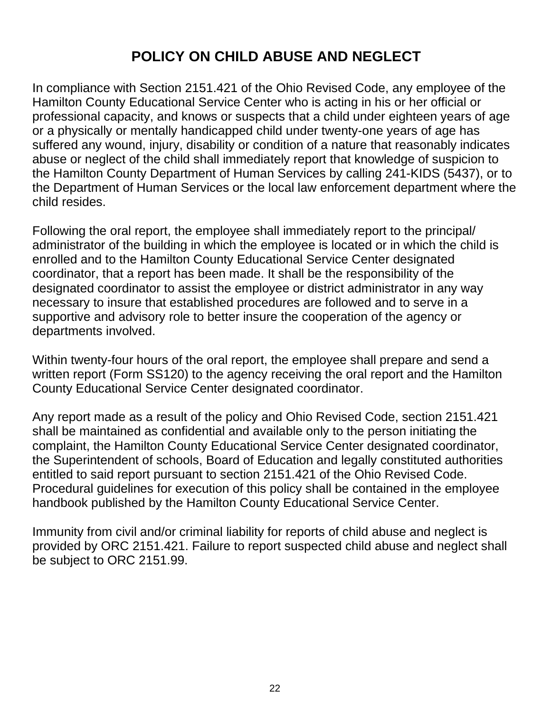### **POLICY ON CHILD ABUSE AND NEGLECT**

In compliance with Section 2151.421 of the Ohio Revised Code, any employee of the Hamilton County Educational Service Center who is acting in his or her official or professional capacity, and knows or suspects that a child under eighteen years of age or a physically or mentally handicapped child under twenty-one years of age has suffered any wound, injury, disability or condition of a nature that reasonably indicates abuse or neglect of the child shall immediately report that knowledge of suspicion to the Hamilton County Department of Human Services by calling 241-KIDS (5437), or to the Department of Human Services or the local law enforcement department where the child resides.

Following the oral report, the employee shall immediately report to the principal/ administrator of the building in which the employee is located or in which the child is enrolled and to the Hamilton County Educational Service Center designated coordinator, that a report has been made. It shall be the responsibility of the designated coordinator to assist the employee or district administrator in any way necessary to insure that established procedures are followed and to serve in a supportive and advisory role to better insure the cooperation of the agency or departments involved.

Within twenty-four hours of the oral report, the employee shall prepare and send a written report (Form SS120) to the agency receiving the oral report and the Hamilton County Educational Service Center designated coordinator.

Any report made as a result of the policy and Ohio Revised Code, section 2151.421 shall be maintained as confidential and available only to the person initiating the complaint, the Hamilton County Educational Service Center designated coordinator, the Superintendent of schools, Board of Education and legally constituted authorities entitled to said report pursuant to section 2151.421 of the Ohio Revised Code. Procedural guidelines for execution of this policy shall be contained in the employee handbook published by the Hamilton County Educational Service Center.

Immunity from civil and/or criminal liability for reports of child abuse and neglect is provided by ORC 2151.421. Failure to report suspected child abuse and neglect shall be subject to ORC 2151.99.